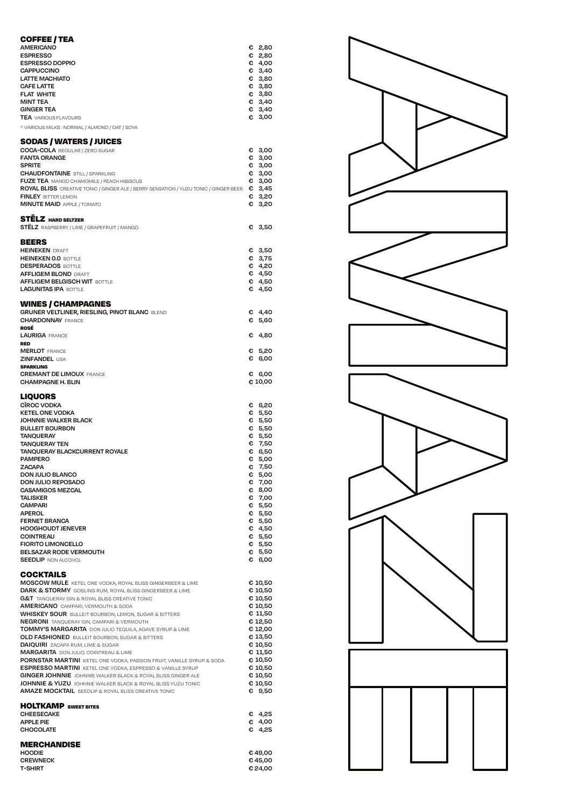| COFFEE / TEA<br><b>AMERICANO</b><br><b>ESPRESSO</b><br><b>ESPRESSO DOPPIO</b><br><b>CAPPUCCINO</b><br><b>LATTE MACHIATO</b><br><b>CAFE LATTE</b><br><b>FLAT WHITE</b><br><b>MINT TEA</b><br><b>GINGER TEA</b><br><b>TEA</b> VARIOUS FLAVOURS<br>* VARIOUS MILKS : NORMAL / ALMOND / OAT / SOYA<br><b>SODAS / WATERS / JUICES</b>                                                                                                                                                                                                                                                                                                                                                                                                                                                                                                                                                                                                         |   | € 2,80<br>€ 2,80<br>€ 4,00<br>€ 3,40<br>€ 3,80<br>63,80<br>€ 3,80<br>€ 3,40<br>$C$ 3,40<br>€ 3,00                                                                                                                |
|------------------------------------------------------------------------------------------------------------------------------------------------------------------------------------------------------------------------------------------------------------------------------------------------------------------------------------------------------------------------------------------------------------------------------------------------------------------------------------------------------------------------------------------------------------------------------------------------------------------------------------------------------------------------------------------------------------------------------------------------------------------------------------------------------------------------------------------------------------------------------------------------------------------------------------------|---|------------------------------------------------------------------------------------------------------------------------------------------------------------------------------------------------------------------|
| <b>COCA-COLA</b> REGULAR / ZERO SUGAR<br><b>FANTA ORANGE</b><br><b>SPRITE</b><br><b>CHAUDFONTAINE</b> STILL / SPARKLING<br><b>FUZE TEA</b> MANGO CHAMOMILE / PEACH HIBISCUS<br>ROYAL BLISS CREATIVE TONIC / GINGER ALE / BERRY SENSATION / YUZU TONIC / GINGER BEER € 3,45<br><b>FINLEY BITTER LEMON</b><br><b>MINUTE MAID</b> APPLE / TOMATO                                                                                                                                                                                                                                                                                                                                                                                                                                                                                                                                                                                            |   | € 3,00<br>€ 3,00<br>€ 3,00<br>€ 3,00<br>€ 3,00<br>€ 3,20<br>€ 3,20                                                                                                                                               |
| <b>STELZ</b> HARD SELTZER<br><b>STELZ</b> RASPBERRY / LIME / GRAPEFRUIT / MANGO<br><b>BEERS</b>                                                                                                                                                                                                                                                                                                                                                                                                                                                                                                                                                                                                                                                                                                                                                                                                                                          | € | 3,50                                                                                                                                                                                                             |
| <b>HEINEKEN DRAFT</b><br><b>HEINEKEN 0.0 BOTTLE</b><br><b>DESPERADOS BOTTLE</b><br><b>AFFLIGEM BLOND DRAFT</b><br><b>AFFLIGEM BELGISCH WIT BOTTLE</b><br><b>LAGUNITAS IPA BOTTLE</b>                                                                                                                                                                                                                                                                                                                                                                                                                                                                                                                                                                                                                                                                                                                                                     |   | € 3,50<br>63,75<br>64,20<br>€ 4,50<br>€ 4,50<br>€ 4,50                                                                                                                                                           |
| <b>WINES / CHAMPAGNES</b><br><b>GRUNER VELTLINER, RIESLING, PINOT BLANC BLEND</b><br><b>CHARDONNAY FRANCE</b><br>ROSÉ                                                                                                                                                                                                                                                                                                                                                                                                                                                                                                                                                                                                                                                                                                                                                                                                                    |   | € 4,40<br>€ 5,60                                                                                                                                                                                                 |
| <b>LAURIGA FRANCE</b><br><b>RED</b><br><b>MERLOT</b> FRANCE                                                                                                                                                                                                                                                                                                                                                                                                                                                                                                                                                                                                                                                                                                                                                                                                                                                                              | € | -4,80<br>€ 5,20                                                                                                                                                                                                  |
| <b>ZINFANDEL USA</b><br><b>SPARKLING</b><br><b>CREMANT DE LIMOUX FRANCE</b>                                                                                                                                                                                                                                                                                                                                                                                                                                                                                                                                                                                                                                                                                                                                                                                                                                                              |   | € 6,00<br>€ 6,00                                                                                                                                                                                                 |
| <b>CHAMPAGNE H. BLIN</b><br><b>LIQUORS</b>                                                                                                                                                                                                                                                                                                                                                                                                                                                                                                                                                                                                                                                                                                                                                                                                                                                                                               |   | € 10,00                                                                                                                                                                                                          |
| <b>CÎROC VODKA</b><br><b>KETEL ONE VODKA</b><br><b>JOHNNIE WALKER BLACK</b><br><b>BULLEIT BOURBON</b><br><b>TANQUERAY</b><br><b>TANQUERAY TEN</b><br><b>TANQUERAY BLACKCURRENT ROYALE</b><br><b>PAMPERO</b><br><b>ZACAPA</b><br><b>DON JULIO BLANCO</b><br><b>DON JULIO REPOSADO</b><br><b>CASAMIGOS MEZCAL</b><br><b>TALISKER</b><br><b>CAMPARI</b><br><b>APEROL</b><br><b>FERNET BRANCA</b><br><b>HOOGHOUDT JENEVER</b><br><b>COINTREAU</b><br><b>FIORITO LIMONCELLO</b><br>BELSAZAR RODE VERMOUTH<br><b>SEEDLIP NON ALCOHOL</b><br>COCKTAILS                                                                                                                                                                                                                                                                                                                                                                                          | € | € 6,20<br>€ 5,50<br>€ 5,50<br>€ 5,50<br>€ 5,50<br>€ 7,50<br>€ 6,50<br>€ 5,00<br>7,50<br>€ 5,00<br>€ 7,00<br>€ 8,00<br>€ 7,00<br>€ 5,50<br>$C$ 5,50<br>$C$ 5,50<br>€ 4,50<br>€ 5,50<br>€ 5,50<br>€ 5,50<br>€ 6,00 |
| <b>MOSCOW MULE</b> KETEL ONE VODKA, ROYAL BLISS GINGERBEER & LIME<br>DARK & STORMY GOSLING RUM, ROYAL BLISS GINGERBEER & LIME<br><b>G&amp;T</b> TANQUERAY GIN & ROYAL BLISS CREATIVE TONIC<br><b>AMERICANO</b> CAMPARI, VERMOUTH & SODA<br><b>WHISKEY SOUR</b> BULLEIT BOURBON, LEMON, SUGAR & BITTERS<br><b>NEGRONI</b> TANQUERAY GIN, CAMPARI & VERMOUTH<br><b>TOMMY'S MARGARITA</b> DON JULIO TEQUILA, AGAVE SYRUP & LIME<br><b>OLD FASHIONED</b> BULLEIT BOURBON, SUGAR & BITTERS<br>DAIQUIRI ZACAPA RUM, LIME & SUGAR<br><b>MARGARITA</b> DON JULIO, COINTREAU & LIME<br>PORNSTAR MARTINI KETEL ONE VODKA, PASSION FRUIT, VANILLE SYRUP & SODA<br><b>ESPRESSO MARTINI</b> KETEL ONE VODKA, ESPRESSO & VANILLE SYRUP<br><b>GINGER JOHNNIE</b> JOHNNIE WALKER BLACK & ROYAL BLISS GINGER ALE<br><b>JOHNNIE &amp; YUZU</b> JOHHNIE WALKER BLACK & ROYAL BLISS YUZU TONIC<br><b>AMAZE MOCKTAIL</b> SEEDLIP & ROYAL BLISS CREATIVE TONIC |   | € 10,50<br>€ 10,50<br>€ 10,50<br>€ 10,50<br>€ 11,50<br>€ 12,50<br>€ 12,00<br>€ 13,50<br>€ 10,50<br>€ 11,50<br>€ 10,50<br>€ 10,50<br>€ 10,50<br>€ 10,50<br>€ 9,50                                                 |
| <b>HOLTKAMP</b> SWEET BITES<br><b>CHEESECAKE</b><br><b>APPLE PIE</b><br><b>CHOCOLATE</b>                                                                                                                                                                                                                                                                                                                                                                                                                                                                                                                                                                                                                                                                                                                                                                                                                                                 |   | € 4,25<br>€ 4,00<br>€ 4,25                                                                                                                                                                                       |
| <b>MERCHANDISE</b><br><b>HOODIE</b><br><b>CREWNECK</b><br><b>T-SHIRT</b>                                                                                                                                                                                                                                                                                                                                                                                                                                                                                                                                                                                                                                                                                                                                                                                                                                                                 |   | €49,00<br>€ 45,00<br>€24,00                                                                                                                                                                                      |